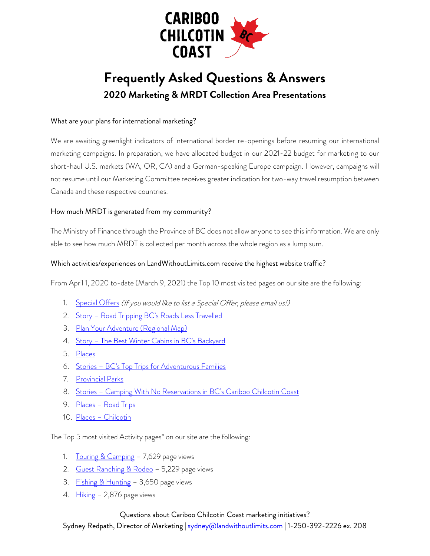

# **Frequently Asked Questions & Answers 2020 Marketing & MRDT Collection Area Presentations**

# What are your plans for international marketing?

We are awaiting greenlight indicators of international border re-openings before resuming our international marketing campaigns. In preparation, we have allocated budget in our 2021-22 budget for marketing to our short-haul U.S. markets (WA, OR, CA) and a German-speaking Europe campaign. However, campaigns will not resume until our Marketing Committee receives greater indication for two-way travel resumption between Canada and these respective countries.

## How much MRDT is generated from my community?

The Ministry of Finance through the Province of BC does not allow anyone to see this information. We are only able to see how much MRDT is collected per month across the whole region as a lump sum.

## Which activities/experiences on LandWithoutLimits.com receive the highest website traffic?

From April 1, 2020 to-date (March 9, 2021) the Top 10 most visited pages on our site are the following:

- 1. [Special Offers](https://landwithoutlimits.com/special-offers/) (If you would like to list a Special Offer, please email us!)
- 2. Story [Road Tripping BC's Roads Less Travelled](https://landwithoutlimits.com/stories/road-tripping-bcs-roads-less-travelled/)
- 3. [Plan Your Adventure \(Regional Map\)](https://landwithoutlimits.com/plan-your-adventure/maps/)
- 4. Story [The Best Winter Cabins in BC's Backyard](https://landwithoutlimits.com/stories/the-best-winter-cabins-in-british-columbias-backyard/)
- 5. [Places](https://landwithoutlimits.com/places/)
- 6. Stories [BC's Top Trips for Adventurous Families](https://landwithoutlimits.com/stories/bcs-top-trips-for-adventurous-families/)
- 7. [Provincial Parks](https://landwithoutlimits.com/places/provincial-parks/)
- 8. Stories [Camping With No Reservations in BC's Cariboo Chilcotin Coast](https://landwithoutlimits.com/stories/camping-with-no-reservations-in-b-c-s-cariboo-chilcotin-coast/)
- 9. Places [Road Trips](https://landwithoutlimits.com/places/road-trips/)
- 10. Places [Chilcotin](https://landwithoutlimits.com/places/chilcotin/)

The Top 5 most visited Activity pages\* on our site are the following:

- 1. [Touring & Camping](https://landwithoutlimits.com/things-to-do/touring-camping/) 7,629 page views
- 2. [Guest Ranching & Rodeo](https://landwithoutlimits.com/things-to-do/guest-ranches-rodeos/) 5,229 page views
- 3. [Fishing & Hunting](https://landwithoutlimits.com/things-to-do/fishing-hunting/) 3,650 page views
- 4.  $Hiking 2,876$  $Hiking 2,876$  page views

## Questions about Cariboo Chilcotin Coast marketing initiatives?

Sydney Redpath, Director of Marketing | [sydney@landwithoutlimits.com](mailto:sydney@landwithoutlimits.com) | 1-250-392-2226 ex. 208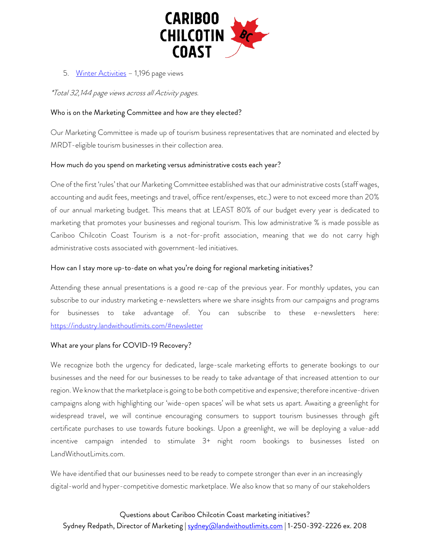

5. [Winter Activities](https://landwithoutlimits.com/things-to-do/winter-activities/) - 1,196 page views

\*Total 32,144 page views across all Activity pages.

#### Who is on the Marketing Committee and how are they elected?

Our Marketing Committee is made up of tourism business representatives that are nominated and elected by MRDT-eligible tourism businesses in their collection area.

#### How much do you spend on marketing versus administrative costs each year?

One of the first 'rules' that our Marketing Committee established was that our administrative costs(staff wages, accounting and audit fees, meetings and travel, office rent/expenses, etc.) were to not exceed more than 20% of our annual marketing budget. This means that at LEAST 80% of our budget every year is dedicated to marketing that promotes your businesses and regional tourism. This low administrative % is made possible as Cariboo Chilcotin Coast Tourism is a not-for-profit association, meaning that we do not carry high administrative costs associated with government-led initiatives.

#### How can I stay more up-to-date on what you're doing for regional marketing initiatives?

Attending these annual presentations is a good re-cap of the previous year. For monthly updates, you can subscribe to our industry marketing e-newsletters where we share insights from our campaigns and programs for businesses to take advantage of. You can subscribe to these e-newsletters here: <https://industry.landwithoutlimits.com/#newsletter>

## What are your plans for COVID-19 Recovery?

We recognize both the urgency for dedicated, large-scale marketing efforts to generate bookings to our businesses and the need for our businesses to be ready to take advantage of that increased attention to our region. We know that the marketplace is going to be both competitive and expensive; therefore incentive-driven campaigns along with highlighting our 'wide-open spaces' will be what sets us apart. Awaiting a greenlight for widespread travel, we will continue encouraging consumers to support tourism businesses through gift certificate purchases to use towards future bookings. Upon a greenlight, we will be deploying a value-add incentive campaign intended to stimulate 3+ night room bookings to businesses listed on LandWithoutLimits.com.

We have identified that our businesses need to be ready to compete stronger than ever in an increasingly digital-world and hyper-competitive domestic marketplace. We also know that so many of our stakeholders

Questions about Cariboo Chilcotin Coast marketing initiatives? Sydney Redpath, Director of Marketing | [sydney@landwithoutlimits.com](mailto:sydney@landwithoutlimits.com) | 1-250-392-2226 ex. 208